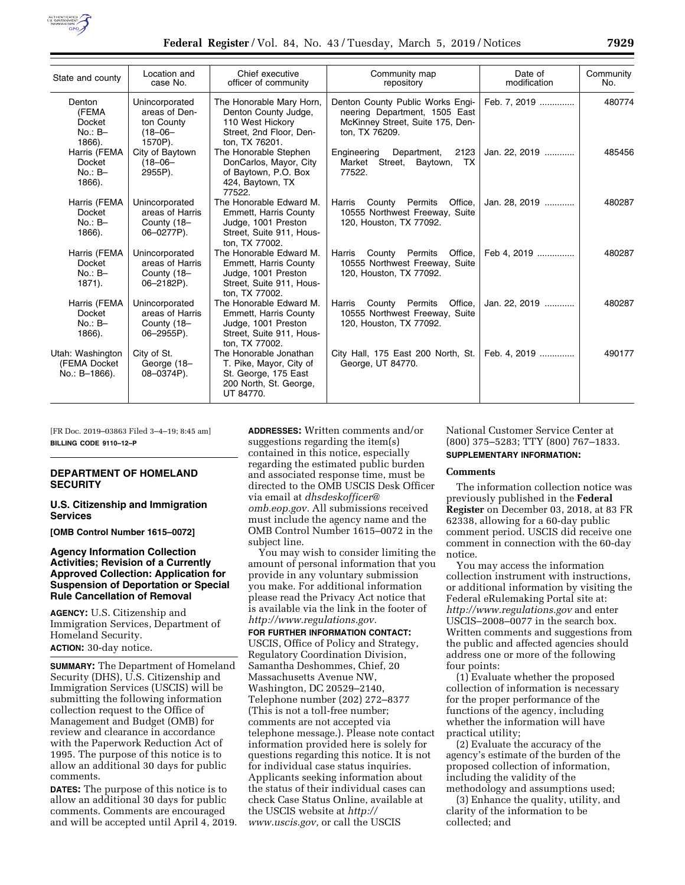

| State and county                                        | Location and<br>case No.                                                 | Chief executive<br>officer of community                                                                               | Community map<br>repository                                                                                             | Date of<br>modification | Community<br>No. |
|---------------------------------------------------------|--------------------------------------------------------------------------|-----------------------------------------------------------------------------------------------------------------------|-------------------------------------------------------------------------------------------------------------------------|-------------------------|------------------|
| Denton<br>(FEMA<br><b>Docket</b><br>$No.: B-$<br>1866). | Unincorporated<br>areas of Den-<br>ton County<br>$(18 - 06 -$<br>1570P). | The Honorable Mary Horn,<br>Denton County Judge,<br>110 West Hickory<br>Street, 2nd Floor, Den-<br>ton, TX 76201.     | Denton County Public Works Engi-<br>neering Department, 1505 East<br>McKinney Street, Suite 175, Den-<br>ton, TX 76209. | Feb. 7, 2019            | 480774           |
| Harris (FEMA<br>Docket<br>$No.: B-$<br>1866).           | City of Baytown<br>$(18 - 06 -$<br>2955P).                               | The Honorable Stephen<br>DonCarlos, Mayor, City<br>of Baytown, P.O. Box<br>424, Baytown, TX<br>77522                  | Engineering<br>Department,<br>2123<br>Market Street,<br>Baytown,<br>TX.<br>77522.                                       | Jan. 22, 2019           | 485456           |
| Harris (FEMA<br>Docket<br>$No.: B-$<br>1866).           | Unincorporated<br>areas of Harris<br>County (18-<br>06-0277P).           | The Honorable Edward M.<br>Emmett, Harris County<br>Judge, 1001 Preston<br>Street, Suite 911, Hous-<br>ton. TX 77002. | County Permits<br>Harris<br>Office,<br>10555 Northwest Freeway, Suite<br>120, Houston, TX 77092.                        | Jan. 28, 2019           | 480287           |
| Harris (FEMA<br>Docket<br>$No.: B-$<br>1871).           | Unincorporated<br>areas of Harris<br>County (18-<br>06-2182P).           | The Honorable Edward M.<br>Emmett, Harris County<br>Judge, 1001 Preston<br>Street, Suite 911, Hous-<br>ton. TX 77002. | County Permits<br>Harris<br>Office,<br>10555 Northwest Freeway, Suite<br>120, Houston, TX 77092.                        | Feb 4, 2019             | 480287           |
| Harris (FEMA<br>Docket<br>$No.: B-$<br>1866).           | Unincorporated<br>areas of Harris<br>County (18-<br>06-2955P).           | The Honorable Edward M.<br>Emmett, Harris County<br>Judge, 1001 Preston<br>Street, Suite 911, Hous-<br>ton. TX 77002. | Permits<br>Office.<br>Harris<br>County<br>10555 Northwest Freeway, Suite<br>120, Houston, TX 77092.                     | Jan. 22, 2019           | 480287           |
| Utah: Washington<br>(FEMA Docket)<br>No.: B-1866).      | City of St.<br>George (18-<br>08-0374P).                                 | The Honorable Jonathan<br>T. Pike, Mayor, City of<br>St. George, 175 East<br>200 North, St. George,<br>UT 84770.      | City Hall, 175 East 200 North, St.<br>George, UT 84770.                                                                 | Feb. 4. 2019            | 490177           |

[FR Doc. 2019–03863 Filed 3–4–19; 8:45 am] **BILLING CODE 9110–12–P** 

## **DEPARTMENT OF HOMELAND SECURITY**

#### **U.S. Citizenship and Immigration Services**

**[OMB Control Number 1615–0072]** 

## **Agency Information Collection Activities; Revision of a Currently Approved Collection: Application for Suspension of Deportation or Special Rule Cancellation of Removal**

**AGENCY:** U.S. Citizenship and Immigration Services, Department of Homeland Security.

**ACTION:** 30-day notice.

**SUMMARY:** The Department of Homeland Security (DHS), U.S. Citizenship and Immigration Services (USCIS) will be submitting the following information collection request to the Office of Management and Budget (OMB) for review and clearance in accordance with the Paperwork Reduction Act of 1995. The purpose of this notice is to allow an additional 30 days for public comments.

**DATES:** The purpose of this notice is to allow an additional 30 days for public comments. Comments are encouraged and will be accepted until April 4, 2019. **ADDRESSES:** Written comments and/or suggestions regarding the item(s) contained in this notice, especially regarding the estimated public burden and associated response time, must be directed to the OMB USCIS Desk Officer via email at *[dhsdeskofficer@](mailto:dhsdeskofficer@omb.eop.gov) [omb.eop.gov.](mailto:dhsdeskofficer@omb.eop.gov)* All submissions received must include the agency name and the OMB Control Number 1615–0072 in the subject line.

You may wish to consider limiting the amount of personal information that you provide in any voluntary submission you make. For additional information please read the Privacy Act notice that is available via the link in the footer of *[http://www.regulations.gov.](http://www.regulations.gov)* 

### **FOR FURTHER INFORMATION CONTACT:**

USCIS, Office of Policy and Strategy, Regulatory Coordination Division, Samantha Deshommes, Chief, 20 Massachusetts Avenue NW, Washington, DC 20529–2140, Telephone number (202) 272–8377 (This is not a toll-free number; comments are not accepted via telephone message.). Please note contact information provided here is solely for questions regarding this notice. It is not for individual case status inquiries. Applicants seeking information about the status of their individual cases can check Case Status Online, available at the USCIS website at *[http://](http://www.uscis.gov) [www.uscis.gov,](http://www.uscis.gov)* or call the USCIS

National Customer Service Center at (800) 375–5283; TTY (800) 767–1833. **SUPPLEMENTARY INFORMATION:** 

#### **Comments**

The information collection notice was previously published in the **Federal Register** on December 03, 2018, at 83 FR 62338, allowing for a 60-day public comment period. USCIS did receive one comment in connection with the 60-day notice.

You may access the information collection instrument with instructions, or additional information by visiting the Federal eRulemaking Portal site at: *<http://www.regulations.gov>* and enter USCIS–2008–0077 in the search box. Written comments and suggestions from the public and affected agencies should address one or more of the following four points:

(1) Evaluate whether the proposed collection of information is necessary for the proper performance of the functions of the agency, including whether the information will have practical utility;

(2) Evaluate the accuracy of the agency's estimate of the burden of the proposed collection of information, including the validity of the methodology and assumptions used;

(3) Enhance the quality, utility, and clarity of the information to be collected; and